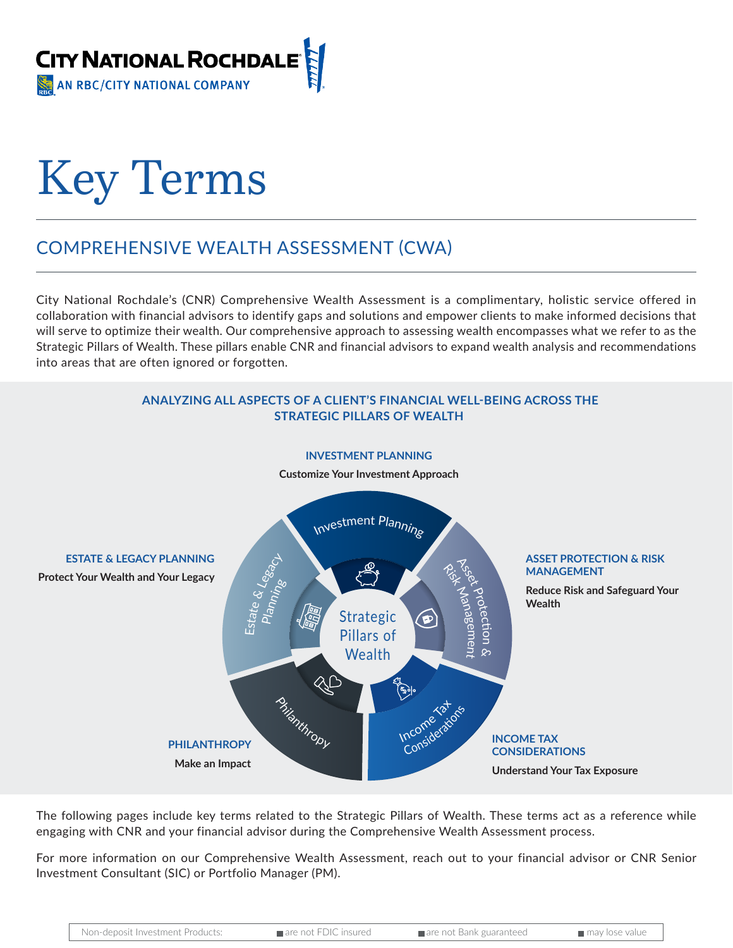

# Key Terms

## COMPREHENSIVE WEALTH ASSESSMENT (CWA)

City National Rochdale's (CNR) Comprehensive Wealth Assessment is a complimentary, holistic service offered in collaboration with financial advisors to identify gaps and solutions and empower clients to make informed decisions that will serve to optimize their wealth. Our comprehensive approach to assessing wealth encompasses what we refer to as the Strategic Pillars of Wealth. These pillars enable CNR and financial advisors to expand wealth analysis and recommendations into areas that are often ignored or forgotten.



The following pages include key terms related to the Strategic Pillars of Wealth. These terms act as a reference while engaging with CNR and your financial advisor during the Comprehensive Wealth Assessment process.

For more information on our Comprehensive Wealth Assessment, reach out to your financial advisor or CNR Senior Investment Consultant (SIC) or Portfolio Manager (PM).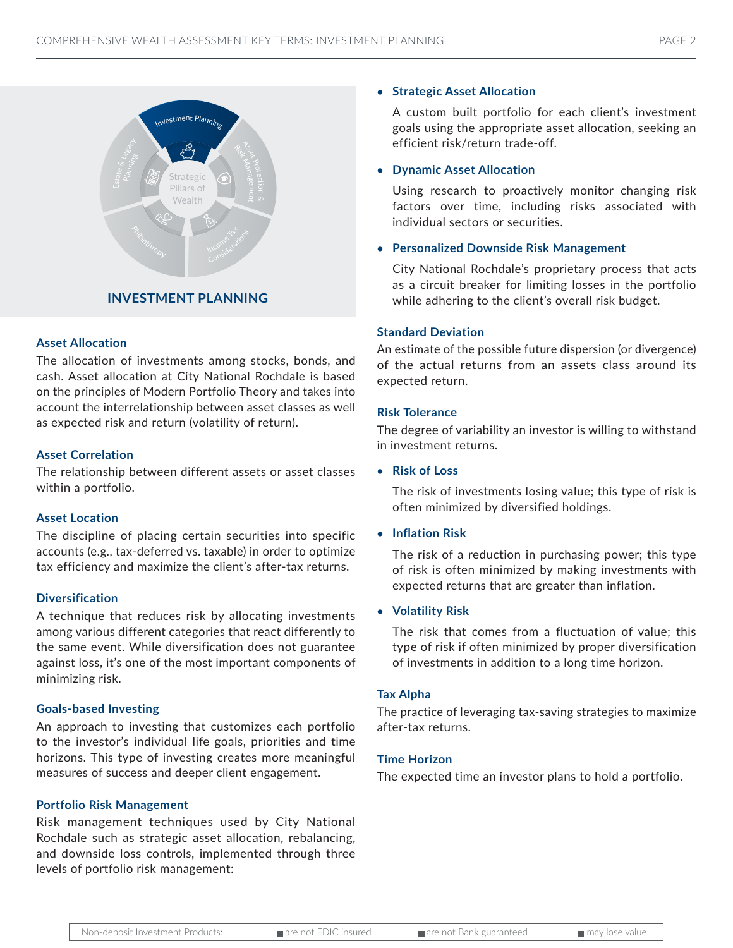

### **Asset Allocation**

The allocation of investments among stocks, bonds, and cash. Asset allocation at City National Rochdale is based on the principles of Modern Portfolio Theory and takes into account the interrelationship between asset classes as well as expected risk and return (volatility of return).

#### **Asset Correlation**

The relationship between different assets or asset classes within a portfolio.

#### **Asset Location**

The discipline of placing certain securities into specific accounts (e.g., tax-deferred vs. taxable) in order to optimize tax efficiency and maximize the client's after-tax returns.

#### **Diversification**

A technique that reduces risk by allocating investments among various different categories that react differently to the same event. While diversification does not guarantee against loss, it's one of the most important components of minimizing risk.

#### **Goals-based Investing**

An approach to investing that customizes each portfolio to the investor's individual life goals, priorities and time horizons. This type of investing creates more meaningful measures of success and deeper client engagement.

#### **Portfolio Risk Management**

Risk management techniques used by City National Rochdale such as strategic asset allocation, rebalancing, and downside loss controls, implemented through three levels of portfolio risk management:

#### **• Strategic Asset Allocation**

A custom built portfolio for each client's investment goals using the appropriate asset allocation, seeking an efficient risk/return trade-off.

#### **• Dynamic Asset Allocation**

Using research to proactively monitor changing risk factors over time, including risks associated with individual sectors or securities.

#### **• Personalized Downside Risk Management**

City National Rochdale's proprietary process that acts as a circuit breaker for limiting losses in the portfolio while adhering to the client's overall risk budget.

#### **Standard Deviation**

An estimate of the possible future dispersion (or divergence) of the actual returns from an assets class around its expected return.

#### **Risk Tolerance**

The degree of variability an investor is willing to withstand in investment returns.

**• Risk of Loss**

The risk of investments losing value; this type of risk is often minimized by diversified holdings.

#### **• Inflation Risk**

The risk of a reduction in purchasing power; this type of risk is often minimized by making investments with expected returns that are greater than inflation.

#### **• Volatility Risk**

The risk that comes from a fluctuation of value; this type of risk if often minimized by proper diversification of investments in addition to a long time horizon.

#### **Tax Alpha**

The practice of leveraging tax-saving strategies to maximize after-tax returns.

#### **Time Horizon**

The expected time an investor plans to hold a portfolio.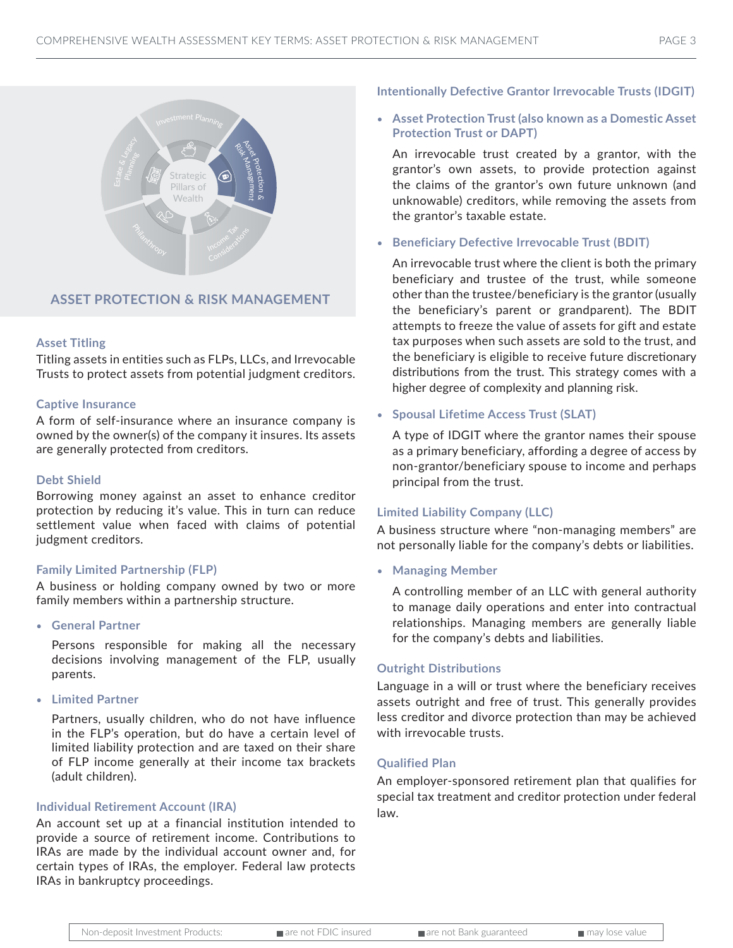

#### **ASSET PROTECTION & RISK MANAGEMENT**

#### **Asset Titling**

Titling assets in entities such as FLPs, LLCs, and Irrevocable Trusts to protect assets from potential judgment creditors.

#### **Captive Insurance**

A form of self-insurance where an insurance company is owned by the owner(s) of the company it insures. Its assets are generally protected from creditors.

#### **Debt Shield**

Borrowing money against an asset to enhance creditor protection by reducing it's value. This in turn can reduce settlement value when faced with claims of potential judgment creditors.

#### **Family Limited Partnership (FLP)**

A business or holding company owned by two or more family members within a partnership structure.

• **General Partner**

Persons responsible for making all the necessary decisions involving management of the FLP, usually parents.

• **Limited Partner**

Partners, usually children, who do not have influence in the FLP's operation, but do have a certain level of limited liability protection and are taxed on their share of FLP income generally at their income tax brackets (adult children).

#### **Individual Retirement Account (IRA)**

An account set up at a financial institution intended to provide a source of retirement income. Contributions to IRAs are made by the individual account owner and, for certain types of IRAs, the employer. Federal law protects IRAs in bankruptcy proceedings.

#### **Intentionally Defective Grantor Irrevocable Trusts (IDGIT)**

• **Asset Protection Trust (also known as a Domestic Asset Protection Trust or DAPT)**

An irrevocable trust created by a grantor, with the grantor's own assets, to provide protection against the claims of the grantor's own future unknown (and unknowable) creditors, while removing the assets from the grantor's taxable estate.

• **Beneficiary Defective Irrevocable Trust (BDIT)**

An irrevocable trust where the client is both the primary beneficiary and trustee of the trust, while someone other than the trustee/beneficiary is the grantor (usually the beneficiary's parent or grandparent). The BDIT attempts to freeze the value of assets for gift and estate tax purposes when such assets are sold to the trust, and the beneficiary is eligible to receive future discretionary distributions from the trust. This strategy comes with a higher degree of complexity and planning risk.

#### • **Spousal Lifetime Access Trust (SLAT)**

A type of IDGIT where the grantor names their spouse as a primary beneficiary, affording a degree of access by non-grantor/beneficiary spouse to income and perhaps principal from the trust.

#### **Limited Liability Company (LLC)**

A business structure where "non-managing members" are not personally liable for the company's debts or liabilities.

• **Managing Member**

A controlling member of an LLC with general authority to manage daily operations and enter into contractual relationships. Managing members are generally liable for the company's debts and liabilities.

#### **Outright Distributions**

Language in a will or trust where the beneficiary receives assets outright and free of trust. This generally provides less creditor and divorce protection than may be achieved with irrevocable trusts.

#### **Qualified Plan**

An employer-sponsored retirement plan that qualifies for special tax treatment and creditor protection under federal law.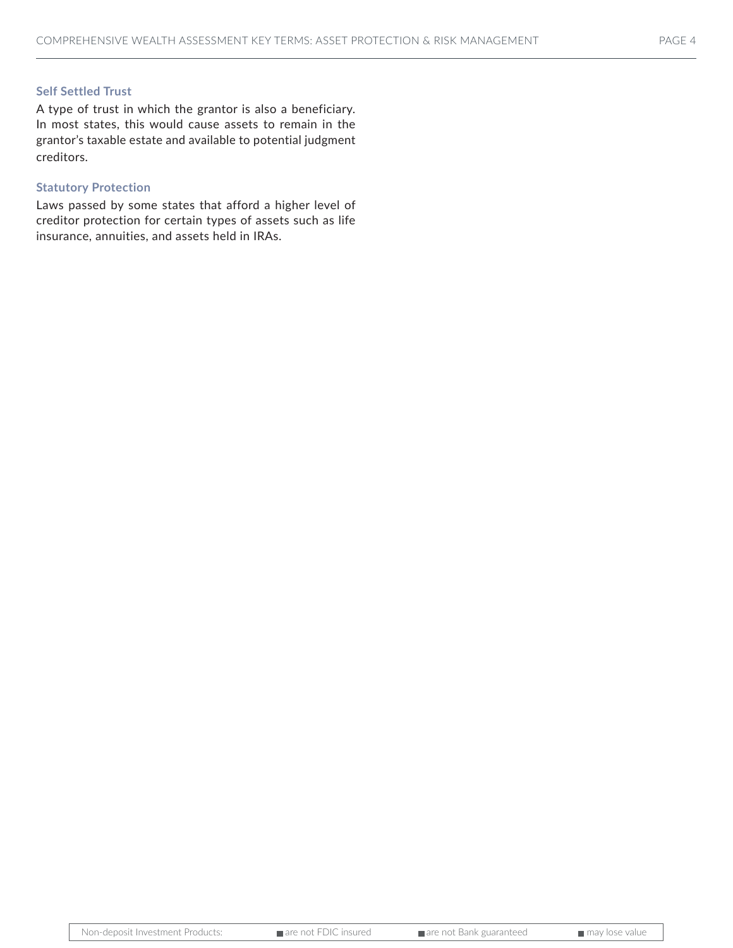#### **Self Settled Trust**

A type of trust in which the grantor is also a beneficiary. In most states, this would cause assets to remain in the grantor's taxable estate and available to potential judgment creditors.

#### **Statutory Protection**

Laws passed by some states that afford a higher level of creditor protection for certain types of assets such as life insurance, annuities, and assets held in IRAs.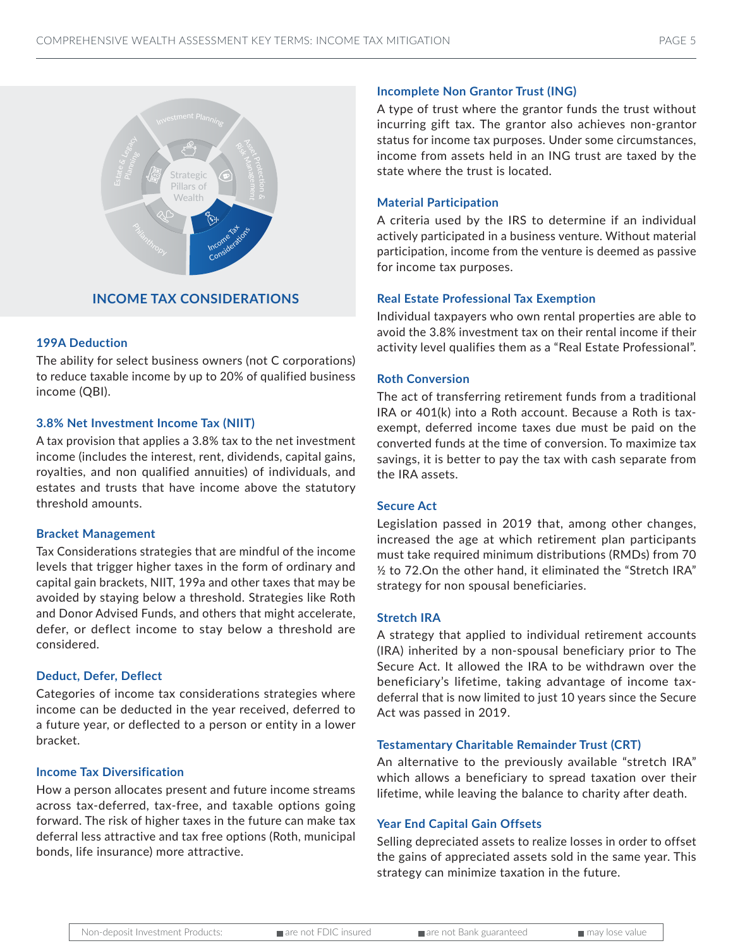

#### **INCOME TAX CONSIDERATIONS**

#### **199A Deduction**

The ability for select business owners (not C corporations) to reduce taxable income by up to 20% of qualified business income (QBI).

#### **3.8% Net Investment Income Tax (NIIT)**

A tax provision that applies a 3.8% tax to the net investment income (includes the interest, rent, dividends, capital gains, royalties, and non qualified annuities) of individuals, and estates and trusts that have income above the statutory threshold amounts.

#### **Bracket Management**

Tax Considerations strategies that are mindful of the income levels that trigger higher taxes in the form of ordinary and capital gain brackets, NIIT, 199a and other taxes that may be avoided by staying below a threshold. Strategies like Roth and Donor Advised Funds, and others that might accelerate, defer, or deflect income to stay below a threshold are considered.

#### **Deduct, Defer, Deflect**

Categories of income tax considerations strategies where income can be deducted in the year received, deferred to a future year, or deflected to a person or entity in a lower bracket.

#### **Income Tax Diversification**

How a person allocates present and future income streams across tax-deferred, tax-free, and taxable options going forward. The risk of higher taxes in the future can make tax deferral less attractive and tax free options (Roth, municipal bonds, life insurance) more attractive.

#### **Incomplete Non Grantor Trust (ING)**

A type of trust where the grantor funds the trust without incurring gift tax. The grantor also achieves non-grantor status for income tax purposes. Under some circumstances, income from assets held in an ING trust are taxed by the state where the trust is located.

#### **Material Participation**

A criteria used by the IRS to determine if an individual actively participated in a business venture. Without material participation, income from the venture is deemed as passive for income tax purposes.

#### **Real Estate Professional Tax Exemption**

Individual taxpayers who own rental properties are able to avoid the 3.8% investment tax on their rental income if their activity level qualifies them as a "Real Estate Professional".

#### **Roth Conversion**

The act of transferring retirement funds from a traditional IRA or 401(k) into a Roth account. Because a Roth is taxexempt, deferred income taxes due must be paid on the converted funds at the time of conversion. To maximize tax savings, it is better to pay the tax with cash separate from the IRA assets.

#### **Secure Act**

Legislation passed in 2019 that, among other changes, increased the age at which retirement plan participants must take required minimum distributions (RMDs) from 70 ½ to 72.On the other hand, it eliminated the "Stretch IRA" strategy for non spousal beneficiaries.

#### **Stretch IRA**

A strategy that applied to individual retirement accounts (IRA) inherited by a non-spousal beneficiary prior to The Secure Act. It allowed the IRA to be withdrawn over the beneficiary's lifetime, taking advantage of income taxdeferral that is now limited to just 10 years since the Secure Act was passed in 2019.

#### **Testamentary Charitable Remainder Trust (CRT)**

An alternative to the previously available "stretch IRA" which allows a beneficiary to spread taxation over their lifetime, while leaving the balance to charity after death.

#### **Year End Capital Gain Offsets**

Selling depreciated assets to realize losses in order to offset the gains of appreciated assets sold in the same year. This strategy can minimize taxation in the future.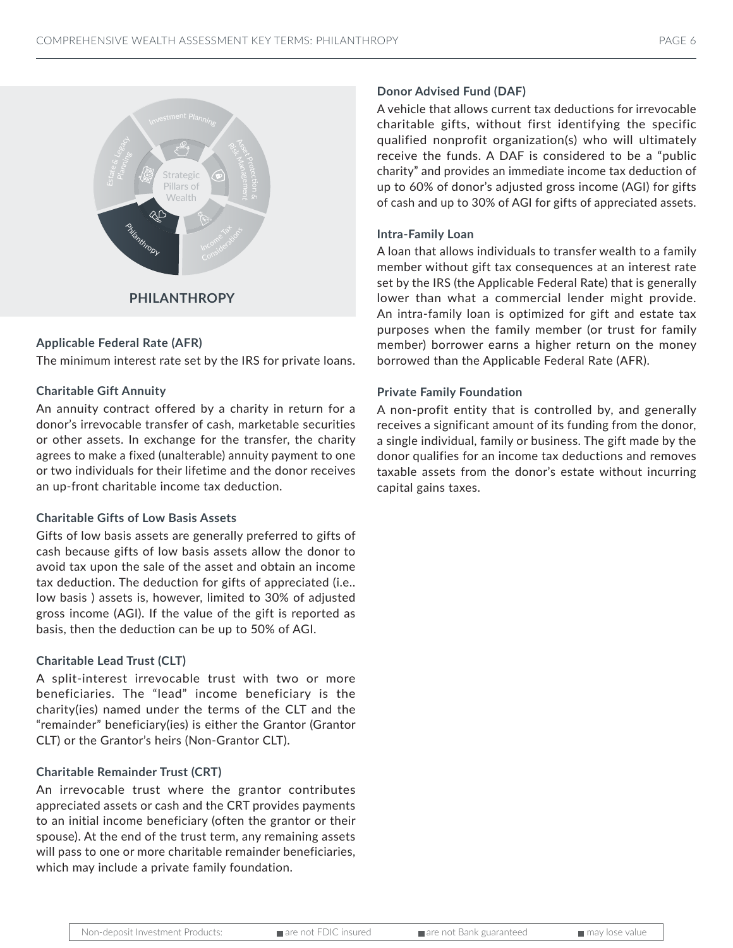

#### **Applicable Federal Rate (AFR)**

The minimum interest rate set by the IRS for private loans.

#### **Charitable Gift Annuity**

An annuity contract offered by a charity in return for a donor's irrevocable transfer of cash, marketable securities or other assets. In exchange for the transfer, the charity agrees to make a fixed (unalterable) annuity payment to one or two individuals for their lifetime and the donor receives an up-front charitable income tax deduction.

#### **Charitable Gifts of Low Basis Assets**

Gifts of low basis assets are generally preferred to gifts of cash because gifts of low basis assets allow the donor to avoid tax upon the sale of the asset and obtain an income tax deduction. The deduction for gifts of appreciated (i.e.. low basis ) assets is, however, limited to 30% of adjusted gross income (AGI). If the value of the gift is reported as basis, then the deduction can be up to 50% of AGI.

#### **Charitable Lead Trust (CLT)**

A split-interest irrevocable trust with two or more beneficiaries. The "lead" income beneficiary is the charity(ies) named under the terms of the CLT and the "remainder" beneficiary(ies) is either the Grantor (Grantor CLT) or the Grantor's heirs (Non-Grantor CLT).

#### **Charitable Remainder Trust (CRT)**

An irrevocable trust where the grantor contributes appreciated assets or cash and the CRT provides payments to an initial income beneficiary (often the grantor or their spouse). At the end of the trust term, any remaining assets will pass to one or more charitable remainder beneficiaries, which may include a private family foundation.

#### **Donor Advised Fund (DAF)**

A vehicle that allows current tax deductions for irrevocable charitable gifts, without first identifying the specific qualified nonprofit organization(s) who will ultimately receive the funds. A DAF is considered to be a "public charity" and provides an immediate income tax deduction of up to 60% of donor's adjusted gross income (AGI) for gifts of cash and up to 30% of AGI for gifts of appreciated assets.

#### **Intra-Family Loan**

A loan that allows individuals to transfer wealth to a family member without gift tax consequences at an interest rate set by the IRS (the Applicable Federal Rate) that is generally lower than what a commercial lender might provide. An intra-family loan is optimized for gift and estate tax purposes when the family member (or trust for family member) borrower earns a higher return on the money borrowed than the Applicable Federal Rate (AFR).

#### **Private Family Foundation**

A non-profit entity that is controlled by, and generally receives a significant amount of its funding from the donor, a single individual, family or business. The gift made by the donor qualifies for an income tax deductions and removes taxable assets from the donor's estate without incurring capital gains taxes.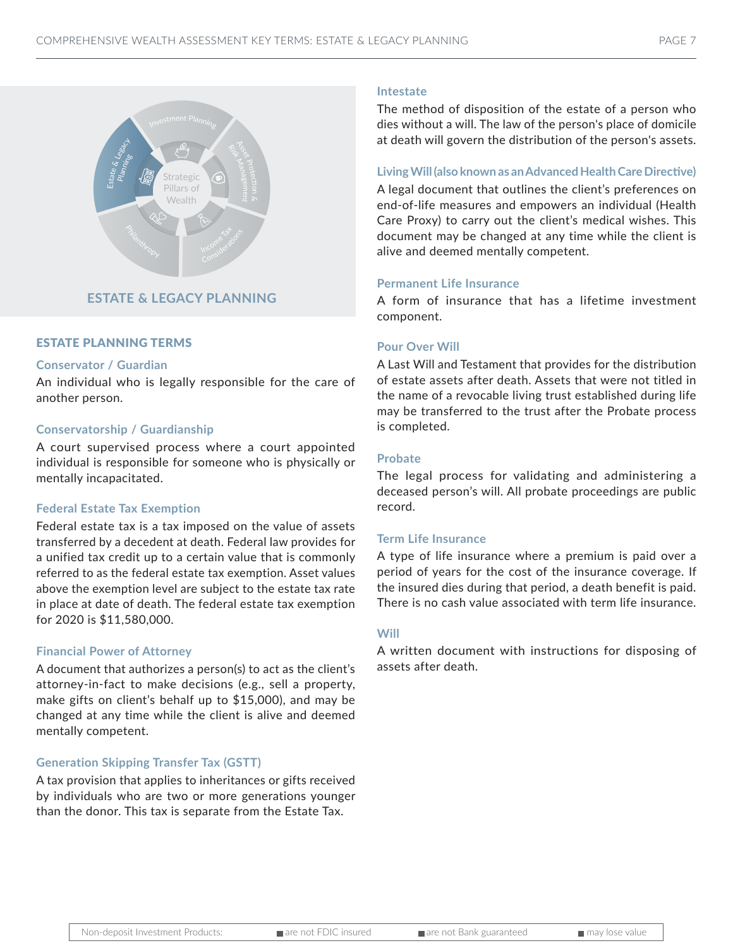

#### **ESTATE & LEGACY PLANNING**

#### ESTATE PLANNING TERMS

#### **Conservator / Guardian**

An individual who is legally responsible for the care of another person.

#### **Conservatorship / Guardianship**

A court supervised process where a court appointed individual is responsible for someone who is physically or mentally incapacitated.

#### **Federal Estate Tax Exemption**

Federal estate tax is a tax imposed on the value of assets transferred by a decedent at death. Federal law provides for a unified tax credit up to a certain value that is commonly referred to as the federal estate tax exemption. Asset values above the exemption level are subject to the estate tax rate in place at date of death. The federal estate tax exemption for 2020 is \$11,580,000.

#### **Financial Power of Attorney**

A document that authorizes a person(s) to act as the client's attorney-in-fact to make decisions (e.g., sell a property, make gifts on client's behalf up to \$15,000), and may be changed at any time while the client is alive and deemed mentally competent.

#### **Generation Skipping Transfer Tax (GSTT)**

A tax provision that applies to inheritances or gifts received by individuals who are two or more generations younger than the donor. This tax is separate from the Estate Tax.

#### **Intestate**

The method of disposition of the estate of a person who dies without a will. The law of the person's place of domicile at death will govern the distribution of the person's assets.

#### **Living Will (also known as an Advanced Health Care Directive)**

A legal document that outlines the client's preferences on end-of-life measures and empowers an individual (Health Care Proxy) to carry out the client's medical wishes. This document may be changed at any time while the client is alive and deemed mentally competent.

#### **Permanent Life Insurance**

A form of insurance that has a lifetime investment component.

#### **Pour Over Will**

A Last Will and Testament that provides for the distribution of estate assets after death. Assets that were not titled in the name of a revocable living trust established during life may be transferred to the trust after the Probate process is completed.

#### **Probate**

The legal process for validating and administering a deceased person's will. All probate proceedings are public record.

#### **Term Life Insurance**

A type of life insurance where a premium is paid over a period of years for the cost of the insurance coverage. If the insured dies during that period, a death benefit is paid. There is no cash value associated with term life insurance.

#### **Will**

A written document with instructions for disposing of assets after death.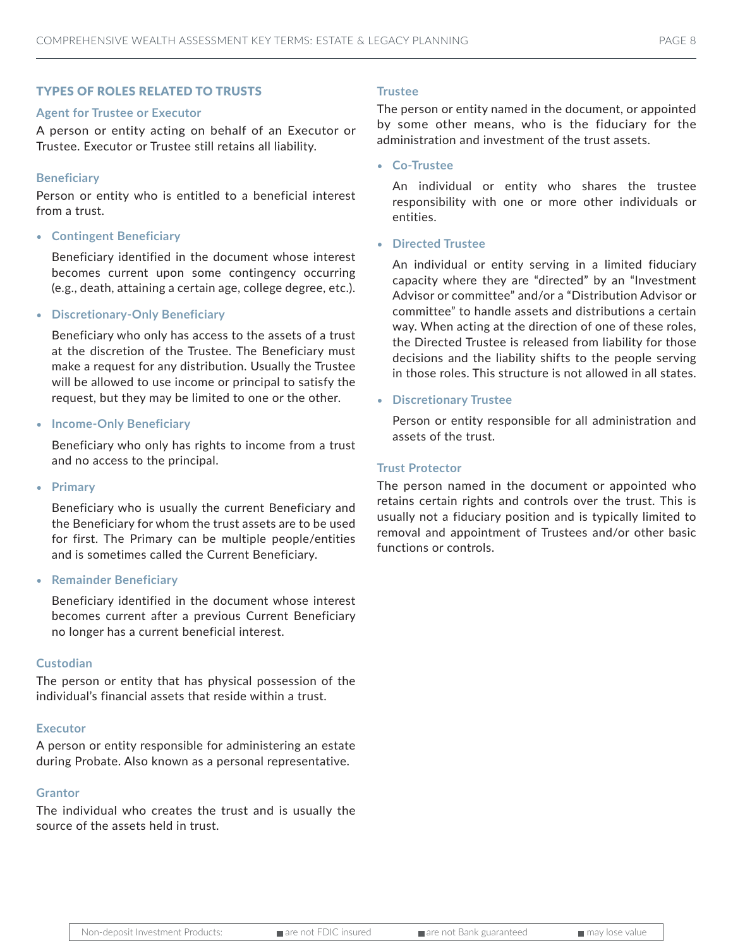#### TYPES OF ROLES RELATED TO TRUSTS

#### **Agent for Trustee or Executor**

A person or entity acting on behalf of an Executor or Trustee. Executor or Trustee still retains all liability.

#### **Beneficiary**

Person or entity who is entitled to a beneficial interest from a trust.

• **Contingent Beneficiary**

Beneficiary identified in the document whose interest becomes current upon some contingency occurring (e.g., death, attaining a certain age, college degree, etc.).

• **Discretionary-Only Beneficiary**

Beneficiary who only has access to the assets of a trust at the discretion of the Trustee. The Beneficiary must make a request for any distribution. Usually the Trustee will be allowed to use income or principal to satisfy the request, but they may be limited to one or the other.

• **Income-Only Beneficiary**

Beneficiary who only has rights to income from a trust and no access to the principal.

• **Primary**

Beneficiary who is usually the current Beneficiary and the Beneficiary for whom the trust assets are to be used for first. The Primary can be multiple people/entities and is sometimes called the Current Beneficiary.

• **Remainder Beneficiary**

Beneficiary identified in the document whose interest becomes current after a previous Current Beneficiary no longer has a current beneficial interest.

#### **Custodian**

The person or entity that has physical possession of the individual's financial assets that reside within a trust.

#### **Executor**

A person or entity responsible for administering an estate during Probate. Also known as a personal representative.

#### **Grantor**

The individual who creates the trust and is usually the source of the assets held in trust.

#### **Trustee**

The person or entity named in the document, or appointed by some other means, who is the fiduciary for the administration and investment of the trust assets.

• **Co-Trustee**

An individual or entity who shares the trustee responsibility with one or more other individuals or entities.

• **Directed Trustee**

An individual or entity serving in a limited fiduciary capacity where they are "directed" by an "Investment Advisor or committee" and/or a "Distribution Advisor or committee" to handle assets and distributions a certain way. When acting at the direction of one of these roles, the Directed Trustee is released from liability for those decisions and the liability shifts to the people serving in those roles. This structure is not allowed in all states.

• **Discretionary Trustee**

Person or entity responsible for all administration and assets of the trust.

#### **Trust Protector**

The person named in the document or appointed who retains certain rights and controls over the trust. This is usually not a fiduciary position and is typically limited to removal and appointment of Trustees and/or other basic functions or controls.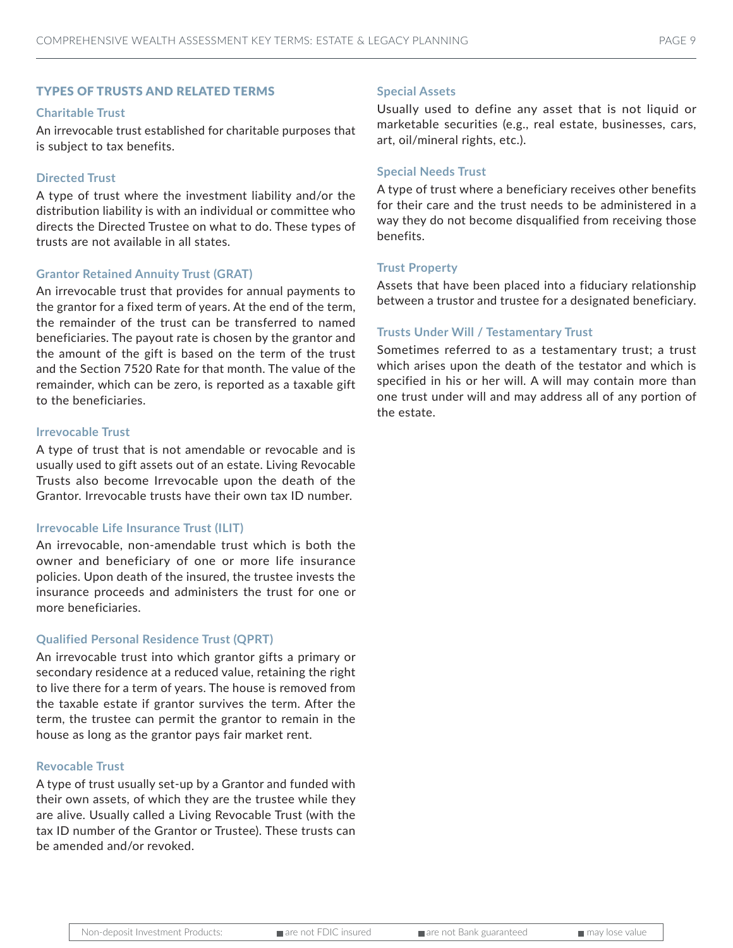#### TYPES OF TRUSTS AND RELATED TERMS

#### **Charitable Trust**

An irrevocable trust established for charitable purposes that is subject to tax benefits.

#### **Directed Trust**

A type of trust where the investment liability and/or the distribution liability is with an individual or committee who directs the Directed Trustee on what to do. These types of trusts are not available in all states.

#### **Grantor Retained Annuity Trust (GRAT)**

An irrevocable trust that provides for annual payments to the grantor for a fixed term of years. At the end of the term, the remainder of the trust can be transferred to named beneficiaries. The payout rate is chosen by the grantor and the amount of the gift is based on the term of the trust and the Section 7520 Rate for that month. The value of the remainder, which can be zero, is reported as a taxable gift to the beneficiaries.

#### **Irrevocable Trust**

A type of trust that is not amendable or revocable and is usually used to gift assets out of an estate. Living Revocable Trusts also become Irrevocable upon the death of the Grantor. Irrevocable trusts have their own tax ID number.

#### **Irrevocable Life Insurance Trust (ILIT)**

An irrevocable, non-amendable trust which is both the owner and beneficiary of one or more life insurance policies. Upon death of the insured, the trustee invests the insurance proceeds and administers the trust for one or more beneficiaries.

#### **Qualified Personal Residence Trust (QPRT)**

An irrevocable trust into which grantor gifts a primary or secondary residence at a reduced value, retaining the right to live there for a term of years. The house is removed from the taxable estate if grantor survives the term. After the term, the trustee can permit the grantor to remain in the house as long as the grantor pays fair market rent.

#### **Revocable Trust**

A type of trust usually set-up by a Grantor and funded with their own assets, of which they are the trustee while they are alive. Usually called a Living Revocable Trust (with the tax ID number of the Grantor or Trustee). These trusts can be amended and/or revoked.

#### **Special Assets**

Usually used to define any asset that is not liquid or marketable securities (e.g., real estate, businesses, cars, art, oil/mineral rights, etc.).

#### **Special Needs Trust**

A type of trust where a beneficiary receives other benefits for their care and the trust needs to be administered in a way they do not become disqualified from receiving those benefits.

#### **Trust Property**

Assets that have been placed into a fiduciary relationship between a trustor and trustee for a designated beneficiary.

#### **Trusts Under Will / Testamentary Trust**

Sometimes referred to as a testamentary trust; a trust which arises upon the death of the testator and which is specified in his or her will. A will may contain more than one trust under will and may address all of any portion of the estate.